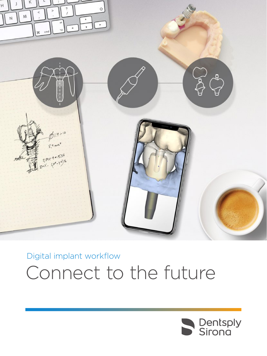

## Digital implant workflow Connect to the future

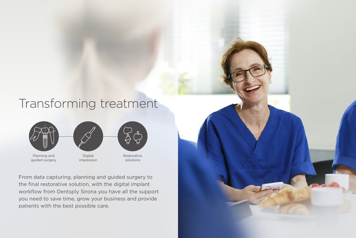From data capturing, planning and guided surgery to the final restorative solution, with the digital implant workflow from Dentsply Sirona you have all the support you need to save time, grow your business and provide patients with the best possible care.



## Transforming treatment



impression





solutions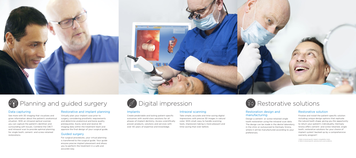



## $\mathscr{D}$  Planning and guided surgery  $\qquad \qquad \varnothing$  Digital impression  $\qquad \qquad \qquad \qquad \qquad \qquad \qquad \qquad \qquad \qquad$  Restorative solutions

### Data capturing

See more with 3D imaging that visualizes and gives information about the patient's anatomical situation. With an intraoral optical scanner, you can capture the patient's dentition and surrounding soft tissues. Combine the CBCT and intraoral scan to provide optimal planning for single tooth, cement- and screw-retained restorations.

## Restorative and implant planning

Virtually plan your implant case prior to surgery, considering prosthetic requirements and determine anatomical and bone quality prerequisites. Easily send and receive 3D imaging data within the treatment team and approve the final design of your surgical guide.

### Guided surgery

Finalize and install the patient-specific solution including unique design options that replicate the natural tooth shape, giving you the opportunity to return your patient's individuality. Dentsply Sirona offers cement- and screw-retained, single tooth, restorative solutions for your choice of implant system<sup>1</sup> backed up by a comprehensive warranty program<sup>2</sup>.

For surgical procedures, your virtual planning is transferred to the surgical guide. Your guide ensures precise implant placement and allows you to perform the treatment in a safe and accurate way.



## Intraoral scanning

Take simple, accurate and time-saving digital impressions with precise 3D images in natural color. With small, easy to handle scanning tools, impression-taking is more pleasant and time-saving than ever before.



## Restoration design and manufacturing

Design a cement- or screw-retained single tooth restoration using the intraoral scan data. The design can be made in the dental laboratory, in the clinic or outsourced to Dentsply Sirona, where it will be manufactured according to your preferences.

## Restorative solution

1. Refer to brand-specific implant compatibility charts. 2. Refer to brand-specific warranty terms and conditions.

### Implants

Create predictable and lasting patient-specific outcomes with world-class solutions for all phases of implant dentistry. Access scientifically proven products, solutions and services with over 40 years of expertise and knowledge.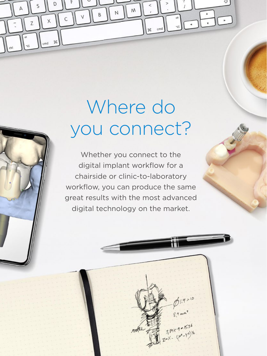## Where do you connect?

 $\mathsf{M}$ 

 $\times$ 

 $\overline{z}$ 

 $\begin{bmatrix} \frac{10}{2} \\ -1 \end{bmatrix}$ 

 $7.81 \times 9 = 15.36$ <br>TeX - (xee - Ye)

 $cmd$ 

 $22$ 

 $\overline{\phantom{a}}$ 

Whether you connect to the digital implant workflow for a chairside or clinic-to-laboratory workflow, you can produce the same great results with the most advanced digital technology on the market.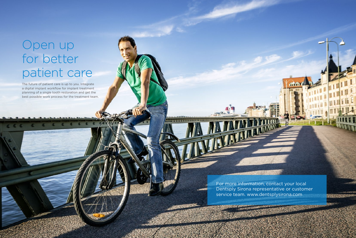# Open up for better patient care

The future of patient care is up to you. Integrate a digital implant workflow for implant treatment planning of a single tooth restoration and get the best possible work process for the treatment team.

> For more information, contact your local Dentsply Sirona representative or customer service team. www.dentsplysirona.com

加业业